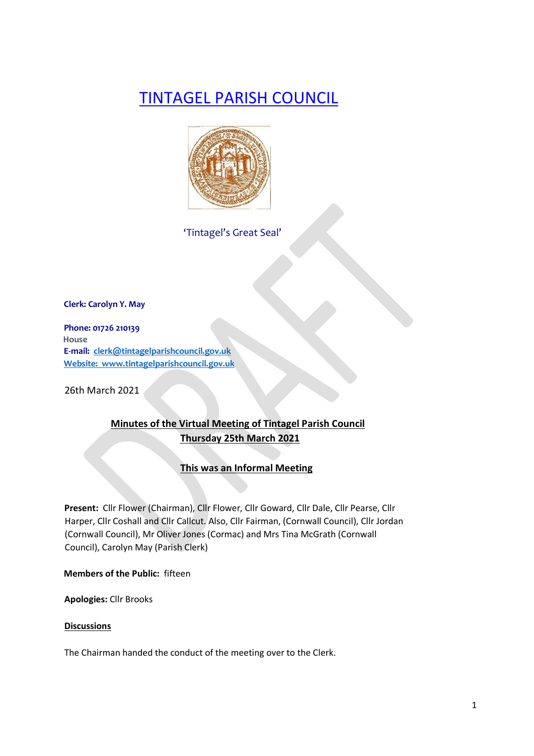# TINTAGEL PARISH COUNCIL



'Tintagel's Great Seal'

**Clerk: Carolyn Y. May** 

**Phone: 01726 210139 House E-mail: clerk@tintagelparishcouncil.gov.uk Website: www.tintagelparishcouncil.gov.uk** 

26th March 2021

## **Minutes of the Virtual Meeting of Tintagel Parish Council Thursday 25th March 2021**

#### **This was an Informal Meeting**

**Present:** Cllr Flower (Chairman), Cllr Flower, Cllr Goward, Cllr Dale, Cllr Pearse, Cllr Harper, Cllr Coshall and Cllr Callcut. Also, Cllr Fairman, (Cornwall Council), Cllr Jordan (Cornwall Council), Mr Oliver Jones (Cormac) and Mrs Tina McGrath (Cornwall Council), Carolyn May (Parish Clerk)

**Members of the Public:** fifteen

**Apologies:** Cllr Brooks

#### **Discussions**

The Chairman handed the conduct of the meeting over to the Clerk.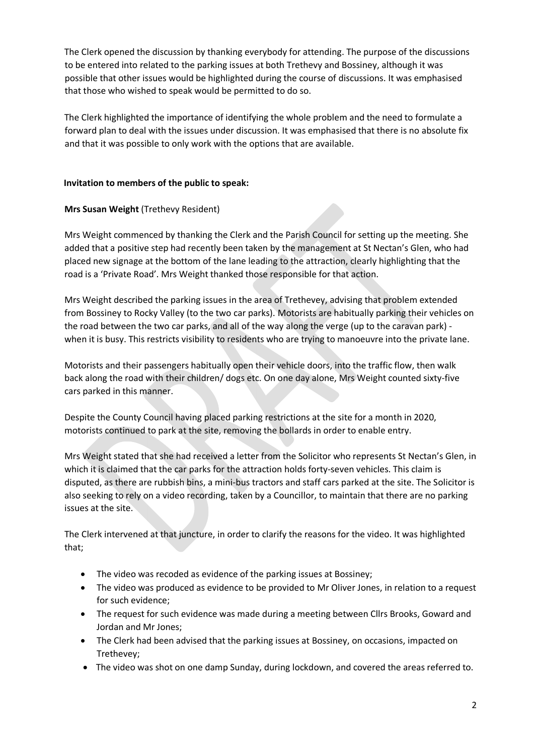The Clerk opened the discussion by thanking everybody for attending. The purpose of the discussions to be entered into related to the parking issues at both Trethevy and Bossiney, although it was possible that other issues would be highlighted during the course of discussions. It was emphasised that those who wished to speak would be permitted to do so.

The Clerk highlighted the importance of identifying the whole problem and the need to formulate a forward plan to deal with the issues under discussion. It was emphasised that there is no absolute fix and that it was possible to only work with the options that are available.

#### **Invitation to members of the public to speak:**

## **Mrs Susan Weight** (Trethevy Resident)

Mrs Weight commenced by thanking the Clerk and the Parish Council for setting up the meeting. She added that a positive step had recently been taken by the management at St Nectan's Glen, who had placed new signage at the bottom of the lane leading to the attraction, clearly highlighting that the road is a 'Private Road'. Mrs Weight thanked those responsible for that action.

Mrs Weight described the parking issues in the area of Trethevey, advising that problem extended from Bossiney to Rocky Valley (to the two car parks). Motorists are habitually parking their vehicles on the road between the two car parks, and all of the way along the verge (up to the caravan park) when it is busy. This restricts visibility to residents who are trying to manoeuvre into the private lane.

Motorists and their passengers habitually open their vehicle doors, into the traffic flow, then walk back along the road with their children/ dogs etc. On one day alone, Mrs Weight counted sixty-five cars parked in this manner.

Despite the County Council having placed parking restrictions at the site for a month in 2020, motorists continued to park at the site, removing the bollards in order to enable entry.

Mrs Weight stated that she had received a letter from the Solicitor who represents St Nectan's Glen, in which it is claimed that the car parks for the attraction holds forty-seven vehicles. This claim is disputed, as there are rubbish bins, a mini-bus tractors and staff cars parked at the site. The Solicitor is also seeking to rely on a video recording, taken by a Councillor, to maintain that there are no parking issues at the site.

The Clerk intervened at that juncture, in order to clarify the reasons for the video. It was highlighted that;

- The video was recoded as evidence of the parking issues at Bossiney;
- The video was produced as evidence to be provided to Mr Oliver Jones, in relation to a request for such evidence;
- The request for such evidence was made during a meeting between Cllrs Brooks, Goward and Jordan and Mr Jones;
- The Clerk had been advised that the parking issues at Bossiney, on occasions, impacted on Trethevey;
- The video was shot on one damp Sunday, during lockdown, and covered the areas referred to.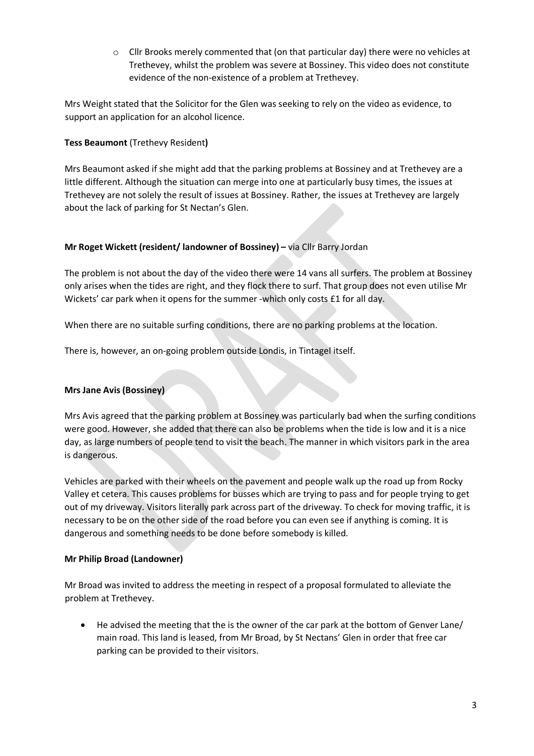$\circ$  Cllr Brooks merely commented that (on that particular day) there were no vehicles at Trethevey, whilst the problem was severe at Bossiney. This video does not constitute evidence of the non-existence of a problem at Trethevey.

Mrs Weight stated that the Solicitor for the Glen was seeking to rely on the video as evidence, to support an application for an alcohol licence.

#### **Tess Beaumont** (Trethevy Resident**)**

Mrs Beaumont asked if she might add that the parking problems at Bossiney and at Trethevey are a little different. Although the situation can merge into one at particularly busy times, the issues at Trethevey are not solely the result of issues at Bossiney. Rather, the issues at Trethevey are largely about the lack of parking for St Nectan's Glen.

## **Mr Roget Wickett (resident/ landowner of Bossiney) –** via Cllr Barry Jordan

The problem is not about the day of the video there were 14 vans all surfers. The problem at Bossiney only arises when the tides are right, and they flock there to surf. That group does not even utilise Mr Wickets' car park when it opens for the summer -which only costs £1 for all day.

When there are no suitable surfing conditions, there are no parking problems at the location.

There is, however, an on-going problem outside Londis, in Tintagel itself.

## **Mrs Jane Avis (Bossiney)**

Mrs Avis agreed that the parking problem at Bossiney was particularly bad when the surfing conditions were good. However, she added that there can also be problems when the tide is low and it is a nice day, as large numbers of people tend to visit the beach. The manner in which visitors park in the area is dangerous.

Vehicles are parked with their wheels on the pavement and people walk up the road up from Rocky Valley et cetera. This causes problems for busses which are trying to pass and for people trying to get out of my driveway. Visitors literally park across part of the driveway. To check for moving traffic, it is necessary to be on the other side of the road before you can even see if anything is coming. It is dangerous and something needs to be done before somebody is killed.

#### **Mr Philip Broad (Landowner)**

Mr Broad was invited to address the meeting in respect of a proposal formulated to alleviate the problem at Trethevey.

• He advised the meeting that the is the owner of the car park at the bottom of Genver Lane/ main road. This land is leased, from Mr Broad, by St Nectans' Glen in order that free car parking can be provided to their visitors.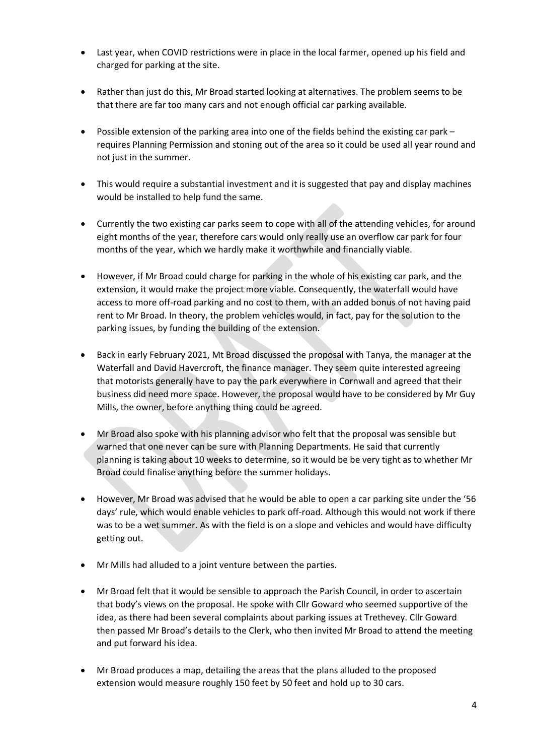- Last year, when COVID restrictions were in place in the local farmer, opened up his field and charged for parking at the site.
- Rather than just do this, Mr Broad started looking at alternatives. The problem seems to be that there are far too many cars and not enough official car parking available.
- Possible extension of the parking area into one of the fields behind the existing car park requires Planning Permission and stoning out of the area so it could be used all year round and not just in the summer.
- This would require a substantial investment and it is suggested that pay and display machines would be installed to help fund the same.
- Currently the two existing car parks seem to cope with all of the attending vehicles, for around eight months of the year, therefore cars would only really use an overflow car park for four months of the year, which we hardly make it worthwhile and financially viable.
- However, if Mr Broad could charge for parking in the whole of his existing car park, and the extension, it would make the project more viable. Consequently, the waterfall would have access to more off-road parking and no cost to them, with an added bonus of not having paid rent to Mr Broad. In theory, the problem vehicles would, in fact, pay for the solution to the parking issues, by funding the building of the extension.
- Back in early February 2021, Mt Broad discussed the proposal with Tanya, the manager at the Waterfall and David Havercroft, the finance manager. They seem quite interested agreeing that motorists generally have to pay the park everywhere in Cornwall and agreed that their business did need more space. However, the proposal would have to be considered by Mr Guy Mills, the owner, before anything thing could be agreed.
- Mr Broad also spoke with his planning advisor who felt that the proposal was sensible but warned that one never can be sure with Planning Departments. He said that currently planning is taking about 10 weeks to determine, so it would be be very tight as to whether Mr Broad could finalise anything before the summer holidays.
- However, Mr Broad was advised that he would be able to open a car parking site under the '56 days' rule, which would enable vehicles to park off-road. Although this would not work if there was to be a wet summer. As with the field is on a slope and vehicles and would have difficulty getting out.
- Mr Mills had alluded to a joint venture between the parties.
- Mr Broad felt that it would be sensible to approach the Parish Council, in order to ascertain that body's views on the proposal. He spoke with Cllr Goward who seemed supportive of the idea, as there had been several complaints about parking issues at Trethevey. Cllr Goward then passed Mr Broad's details to the Clerk, who then invited Mr Broad to attend the meeting and put forward his idea.
- Mr Broad produces a map, detailing the areas that the plans alluded to the proposed extension would measure roughly 150 feet by 50 feet and hold up to 30 cars.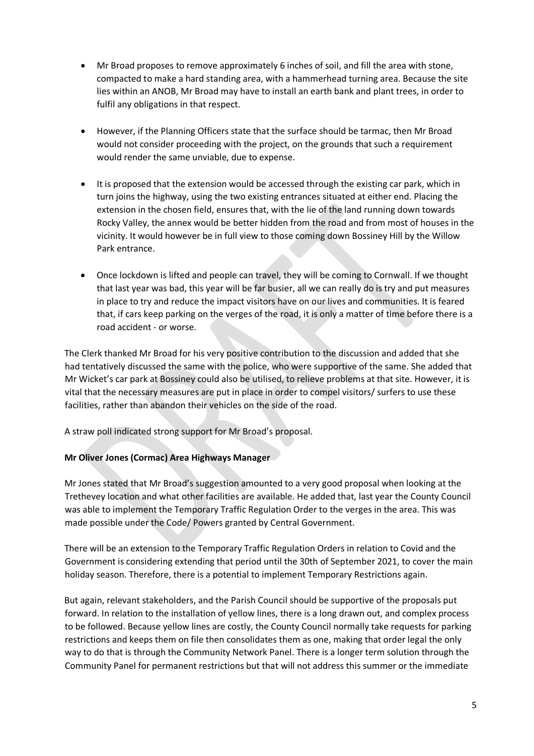- Mr Broad proposes to remove approximately 6 inches of soil, and fill the area with stone, compacted to make a hard standing area, with a hammerhead turning area. Because the site lies within an ANOB, Mr Broad may have to install an earth bank and plant trees, in order to fulfil any obligations in that respect.
- However, if the Planning Officers state that the surface should be tarmac, then Mr Broad would not consider proceeding with the project, on the grounds that such a requirement would render the same unviable, due to expense.
- It is proposed that the extension would be accessed through the existing car park, which in turn joins the highway, using the two existing entrances situated at either end. Placing the extension in the chosen field, ensures that, with the lie of the land running down towards Rocky Valley, the annex would be better hidden from the road and from most of houses in the vicinity. It would however be in full view to those coming down Bossiney Hill by the Willow Park entrance.
- Once lockdown is lifted and people can travel, they will be coming to Cornwall. If we thought that last year was bad, this year will be far busier, all we can really do is try and put measures in place to try and reduce the impact visitors have on our lives and communities. It is feared that, if cars keep parking on the verges of the road, it is only a matter of time before there is a road accident - or worse.

The Clerk thanked Mr Broad for his very positive contribution to the discussion and added that she had tentatively discussed the same with the police, who were supportive of the same. She added that Mr Wicket's car park at Bossiney could also be utilised, to relieve problems at that site. However, it is vital that the necessary measures are put in place in order to compel visitors/ surfers to use these facilities, rather than abandon their vehicles on the side of the road.

A straw poll indicated strong support for Mr Broad's proposal.

## **Mr Oliver Jones (Cormac) Area Highways Manager**

Mr Jones stated that Mr Broad's suggestion amounted to a very good proposal when looking at the Trethevey location and what other facilities are available. He added that, last year the County Council was able to implement the Temporary Traffic Regulation Order to the verges in the area. This was made possible under the Code/ Powers granted by Central Government.

There will be an extension to the Temporary Traffic Regulation Orders in relation to Covid and the Government is considering extending that period until the 30th of September 2021, to cover the main holiday season. Therefore, there is a potential to implement Temporary Restrictions again.

But again, relevant stakeholders, and the Parish Council should be supportive of the proposals put forward. In relation to the installation of yellow lines, there is a long drawn out, and complex process to be followed. Because yellow lines are costly, the County Council normally take requests for parking restrictions and keeps them on file then consolidates them as one, making that order legal the only way to do that is through the Community Network Panel. There is a longer term solution through the Community Panel for permanent restrictions but that will not address this summer or the immediate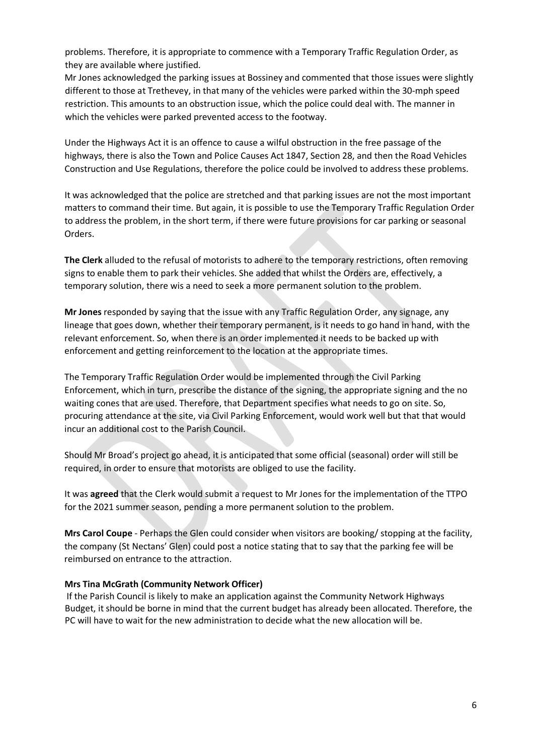problems. Therefore, it is appropriate to commence with a Temporary Traffic Regulation Order, as they are available where justified.

Mr Jones acknowledged the parking issues at Bossiney and commented that those issues were slightly different to those at Trethevey, in that many of the vehicles were parked within the 30-mph speed restriction. This amounts to an obstruction issue, which the police could deal with. The manner in which the vehicles were parked prevented access to the footway.

Under the Highways Act it is an offence to cause a wilful obstruction in the free passage of the highways, there is also the Town and Police Causes Act 1847, Section 28, and then the Road Vehicles Construction and Use Regulations, therefore the police could be involved to address these problems.

It was acknowledged that the police are stretched and that parking issues are not the most important matters to command their time. But again, it is possible to use the Temporary Traffic Regulation Order to address the problem, in the short term, if there were future provisions for car parking or seasonal Orders.

**The Clerk** alluded to the refusal of motorists to adhere to the temporary restrictions, often removing signs to enable them to park their vehicles. She added that whilst the Orders are, effectively, a temporary solution, there wis a need to seek a more permanent solution to the problem.

**Mr Jones** responded by saying that the issue with any Traffic Regulation Order, any signage, any lineage that goes down, whether their temporary permanent, is it needs to go hand in hand, with the relevant enforcement. So, when there is an order implemented it needs to be backed up with enforcement and getting reinforcement to the location at the appropriate times.

The Temporary Traffic Regulation Order would be implemented through the Civil Parking Enforcement, which in turn, prescribe the distance of the signing, the appropriate signing and the no waiting cones that are used. Therefore, that Department specifies what needs to go on site. So, procuring attendance at the site, via Civil Parking Enforcement, would work well but that that would incur an additional cost to the Parish Council.

Should Mr Broad's project go ahead, it is anticipated that some official (seasonal) order will still be required, in order to ensure that motorists are obliged to use the facility.

It was **agreed** that the Clerk would submit a request to Mr Jones for the implementation of the TTPO for the 2021 summer season, pending a more permanent solution to the problem.

**Mrs Carol Coupe** - Perhaps the Glen could consider when visitors are booking/ stopping at the facility, the company (St Nectans' Glen) could post a notice stating that to say that the parking fee will be reimbursed on entrance to the attraction.

#### **Mrs Tina McGrath (Community Network Officer)**

If the Parish Council is likely to make an application against the Community Network Highways Budget, it should be borne in mind that the current budget has already been allocated. Therefore, the PC will have to wait for the new administration to decide what the new allocation will be.